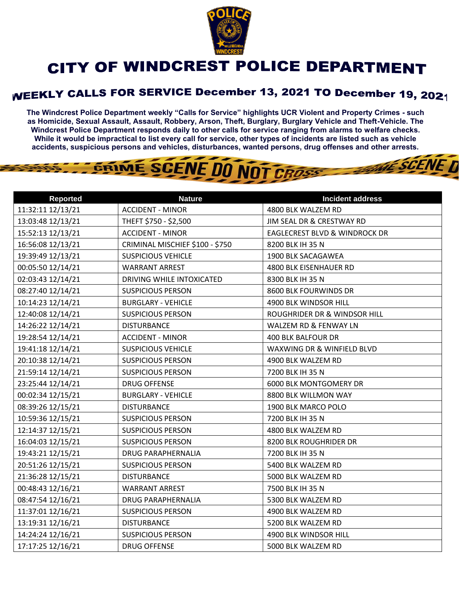

## CITY OF WINDCREST POLICE DEPARTMENT

## WEEKLY CALLS FOR SERVICE December 13, 2021 TO December 19, 2021

**The Windcrest Police Department weekly "Calls for Service" highlights UCR Violent and Property Crimes - such as Homicide, Sexual Assault, Assault, Robbery, Arson, Theft, Burglary, Burglary Vehicle and Theft-Vehicle. The Windcrest Police Department responds daily to other calls for service ranging from alarms to welfare checks. While it would be impractical to list every call for service, other types of incidents are listed such as vehicle accidents, suspicious persons and vehicles, disturbances, wanted persons, drug offenses and other arrests.** 

**THE SCENE D** 

## GRIME SCENE DO NOT CROSS

| <b>Reported</b>   | <b>Nature</b>                   | <b>Incident address</b>                  |
|-------------------|---------------------------------|------------------------------------------|
| 11:32:11 12/13/21 | <b>ACCIDENT - MINOR</b>         | 4800 BLK WALZEM RD                       |
| 13:03:48 12/13/21 | THEFT \$750 - \$2,500           | JIM SEAL DR & CRESTWAY RD                |
| 15:52:13 12/13/21 | <b>ACCIDENT - MINOR</b>         | <b>EAGLECREST BLVD &amp; WINDROCK DR</b> |
| 16:56:08 12/13/21 | CRIMINAL MISCHIEF \$100 - \$750 | 8200 BLK IH 35 N                         |
| 19:39:49 12/13/21 | <b>SUSPICIOUS VEHICLE</b>       | 1900 BLK SACAGAWEA                       |
| 00:05:50 12/14/21 | <b>WARRANT ARREST</b>           | 4800 BLK EISENHAUER RD                   |
| 02:03:43 12/14/21 | DRIVING WHILE INTOXICATED       | 8300 BLK IH 35 N                         |
| 08:27:40 12/14/21 | <b>SUSPICIOUS PERSON</b>        | 8600 BLK FOURWINDS DR                    |
| 10:14:23 12/14/21 | <b>BURGLARY - VEHICLE</b>       | 4900 BLK WINDSOR HILL                    |
| 12:40:08 12/14/21 | <b>SUSPICIOUS PERSON</b>        | ROUGHRIDER DR & WINDSOR HILL             |
| 14:26:22 12/14/21 | <b>DISTURBANCE</b>              | WALZEM RD & FENWAY LN                    |
| 19:28:54 12/14/21 | <b>ACCIDENT - MINOR</b>         | <b>400 BLK BALFOUR DR</b>                |
| 19:41:18 12/14/21 | <b>SUSPICIOUS VEHICLE</b>       | WAXWING DR & WINFIELD BLVD               |
| 20:10:38 12/14/21 | <b>SUSPICIOUS PERSON</b>        | 4900 BLK WALZEM RD                       |
| 21:59:14 12/14/21 | <b>SUSPICIOUS PERSON</b>        | 7200 BLK IH 35 N                         |
| 23:25:44 12/14/21 | <b>DRUG OFFENSE</b>             | <b>6000 BLK MONTGOMERY DR</b>            |
| 00:02:34 12/15/21 | <b>BURGLARY - VEHICLE</b>       | 8800 BLK WILLMON WAY                     |
| 08:39:26 12/15/21 | <b>DISTURBANCE</b>              | 1900 BLK MARCO POLO                      |
| 10:59:36 12/15/21 | <b>SUSPICIOUS PERSON</b>        | 7200 BLK IH 35 N                         |
| 12:14:37 12/15/21 | <b>SUSPICIOUS PERSON</b>        | 4800 BLK WALZEM RD                       |
| 16:04:03 12/15/21 | <b>SUSPICIOUS PERSON</b>        | 8200 BLK ROUGHRIDER DR                   |
| 19:43:21 12/15/21 | <b>DRUG PARAPHERNALIA</b>       | 7200 BLK IH 35 N                         |
| 20:51:26 12/15/21 | <b>SUSPICIOUS PERSON</b>        | 5400 BLK WALZEM RD                       |
| 21:36:28 12/15/21 | <b>DISTURBANCE</b>              | 5000 BLK WALZEM RD                       |
| 00:48:43 12/16/21 | <b>WARRANT ARREST</b>           | 7500 BLK IH 35 N                         |
| 08:47:54 12/16/21 | DRUG PARAPHERNALIA              | 5300 BLK WALZEM RD                       |
| 11:37:01 12/16/21 | <b>SUSPICIOUS PERSON</b>        | 4900 BLK WALZEM RD                       |
| 13:19:31 12/16/21 | <b>DISTURBANCE</b>              | 5200 BLK WALZEM RD                       |
| 14:24:24 12/16/21 | <b>SUSPICIOUS PERSON</b>        | 4900 BLK WINDSOR HILL                    |
| 17:17:25 12/16/21 | <b>DRUG OFFENSE</b>             | 5000 BLK WALZEM RD                       |